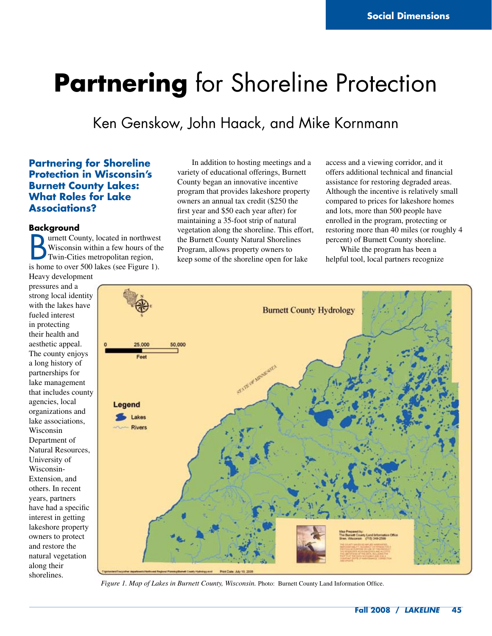# **Partnering** for Shoreline Protection

## Ken Genskow, John Haack, and Mike Kornmann

### **Partnering for Shoreline Protection in Wisconsin's Burnett County Lakes: What Roles for Lake Associations?**

#### **Background**

**B** urnett County, located in northwest<br>Wisconsin within a few hours of the<br>Twin-Cities metropolitan region,<br>is home to over 500 lakes (see Figure 1). urnett County, located in northwest Wisconsin within a few hours of the Twin-Cities metropolitan region, Heavy development

pressures and a strong local identity with the lakes have fueled interest in protecting their health and aesthetic appeal. The county enjoys a long history of partnerships for lake management that includes county agencies, local organizations and lake associations, Wisconsin Department of Natural Resources, University of Wisconsin-Extension, and others. In recent years, partners have had a specific interest in getting lakeshore property owners to protect and restore the natural vegetation along their shorelines.

In addition to hosting meetings and a variety of educational offerings, Burnett County began an innovative incentive program that provides lakeshore property owners an annual tax credit (\$250 the first year and \$50 each year after) for maintaining a 35-foot strip of natural vegetation along the shoreline. This effort, the Burnett County Natural Shorelines Program, allows property owners to keep some of the shoreline open for lake

access and a viewing corridor, and it offers additional technical and financial assistance for restoring degraded areas. Although the incentive is relatively small compared to prices for lakeshore homes and lots, more than 500 people have enrolled in the program, protecting or restoring more than 40 miles (or roughly 4 percent) of Burnett County shoreline.

While the program has been a helpful tool, local partners recognize



*Figure 1. Map of Lakes in Burnett County, Wisconsin.* Photo: Burnett County Land Information Office.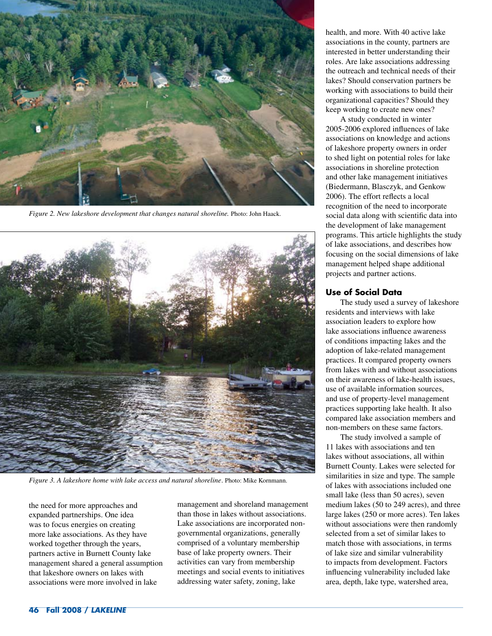

*Figure 2. New lakeshore development that changes natural shoreline.* Photo: John Haack.



*Figure 3. A lakeshore home with lake access and natural shoreline*. Photo: Mike Kornmann.

the need for more approaches and expanded partnerships. One idea was to focus energies on creating more lake associations. As they have worked together through the years, partners active in Burnett County lake management shared a general assumption that lakeshore owners on lakes with associations were more involved in lake

management and shoreland management than those in lakes without associations. Lake associations are incorporated nongovernmental organizations, generally comprised of a voluntary membership base of lake property owners. Their activities can vary from membership meetings and social events to initiatives addressing water safety, zoning, lake

health, and more. With 40 active lake associations in the county, partners are interested in better understanding their roles. Are lake associations addressing the outreach and technical needs of their lakes? Should conservation partners be working with associations to build their organizational capacities? Should they keep working to create new ones?

A study conducted in winter 2005-2006 explored influences of lake associations on knowledge and actions of lakeshore property owners in order to shed light on potential roles for lake associations in shoreline protection and other lake management initiatives (Biedermann, Blasczyk, and Genkow 2006). The effort reflects a local recognition of the need to incorporate social data along with scientific data into the development of lake management programs. This article highlights the study of lake associations, and describes how focusing on the social dimensions of lake management helped shape additional projects and partner actions.

#### **Use of Social Data**

The study used a survey of lakeshore residents and interviews with lake association leaders to explore how lake associations influence awareness of conditions impacting lakes and the adoption of lake-related management practices. It compared property owners from lakes with and without associations on their awareness of lake-health issues, use of available information sources, and use of property-level management practices supporting lake health. It also compared lake association members and non-members on these same factors.

The study involved a sample of 11 lakes with associations and ten lakes without associations, all within Burnett County. Lakes were selected for similarities in size and type. The sample of lakes with associations included one small lake (less than 50 acres), seven medium lakes (50 to 249 acres), and three large lakes (250 or more acres). Ten lakes without associations were then randomly selected from a set of similar lakes to match those with associations, in terms of lake size and similar vulnerability to impacts from development. Factors influencing vulnerability included lake area, depth, lake type, watershed area,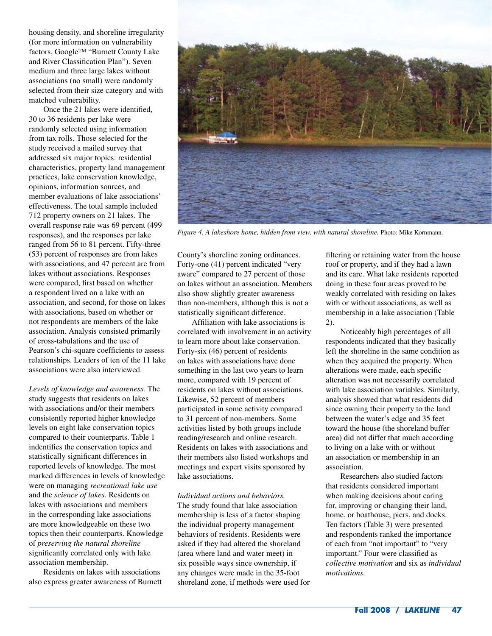housing density, and shoreline irregularity (for more information on vulnerability factors, Google™ "Burnett County Lake and River Classification Plan"). Seven medium and three large lakes without associations (no small) were randomly selected from their size category and with matched vulnerability.

Once the 21 lakes were identified, 30 to 36 residents per lake were randomly selected using information from tax rolls. Those selected for the study received a mailed survey that addressed six major topics: residential characteristics, property land management practices, lake conservation knowledge, opinions, information sources, and member evaluations of lake associations' effectiveness. The total sample included 712 property owners on 21 lakes. The overall response rate was 69 percent (499 responses), and the responses per lake ranged from 56 to 81 percent. Fifty-three (53) percent of responses are from lakes with associations, and 47 percent are from lakes without associations. Responses were compared, first based on whether a respondent lived on a lake with an association, and second, for those on lakes with associations, based on whether or not respondents are members of the lake association. Analysis consisted primarily of cross-tabulations and the use of Pearson's chi-square coefficients to assess relationships. Leaders of ten of the 11 lake associations were also interviewed.

*Levels of knowledge and awareness.* The study suggests that residents on lakes with associations and/or their members consistently reported higher knowledge levels on eight lake conservation topics compared to their counterparts. Table 1 indentifies the conservation topics and statistically significant differences in reported levels of knowledge. The most marked differences in levels of knowledge were on managing *recreational lake use* and the *science of lakes*. Residents on lakes with associations and members in the corresponding lake associations are more knowledgeable on these two topics then their counterparts. Knowledge of *preserving the natural shoreline* significantly correlated only with lake association membership.

Residents on lakes with associations also express greater awareness of Burnett



*Figure 4. A lakeshore home, hidden from view, with natural shoreline.* Photo: Mike Kornmann.

County's shoreline zoning ordinances. Forty-one (41) percent indicated "very aware" compared to 27 percent of those on lakes without an association. Members also show slightly greater awareness than non-members, although this is not a statistically significant difference.

Affiliation with lake associations is correlated with involvement in an activity to learn more about lake conservation. Forty-six (46) percent of residents on lakes with associations have done something in the last two years to learn more, compared with 19 percent of residents on lakes without associations. Likewise, 52 percent of members participated in some activity compared to 31 percent of non-members. Some activities listed by both groups include reading/research and online research. Residents on lakes with associations and their members also listed workshops and meetings and expert visits sponsored by lake associations.

*Individual actions and behaviors.*  The study found that lake association membership is less of a factor shaping the individual property management behaviors of residents. Residents were asked if they had altered the shoreland (area where land and water meet) in six possible ways since ownership, if any changes were made in the 35-foot shoreland zone, if methods were used for filtering or retaining water from the house roof or property, and if they had a lawn and its care. What lake residents reported doing in these four areas proved to be weakly correlated with residing on lakes with or without associations, as well as membership in a lake association (Table 2).

Noticeably high percentages of all respondents indicated that they basically left the shoreline in the same condition as when they acquired the property. When alterations were made, each specific alteration was not necessarily correlated with lake association variables. Similarly, analysis showed that what residents did since owning their property to the land between the water's edge and 35 feet toward the house (the shoreland buffer area) did not differ that much according to living on a lake with or without an association or membership in an association.

Researchers also studied factors that residents considered important when making decisions about caring for, improving or changing their land, home, or boathouse, piers, and docks. Ten factors (Table 3) were presented and respondents ranked the importance of each from "not important" to "very important." Four were classified as *collective motivation* and six as *individual motivations.*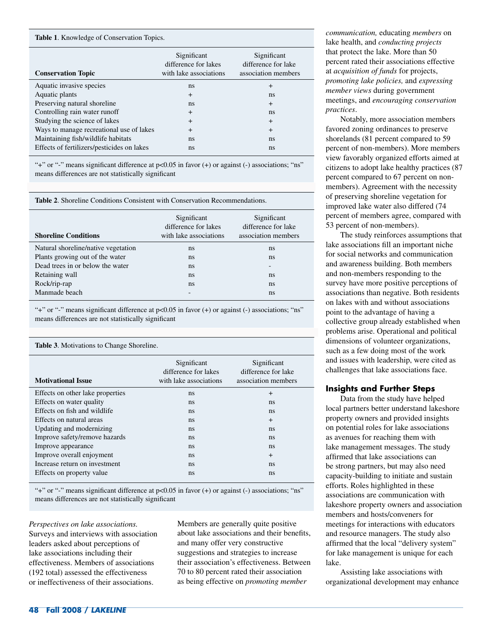#### **Table 1**. Knowledge of Conservation Topics.

| <b>Conservation Topic</b>                  | Significant<br>difference for lakes<br>with lake associations | Significant<br>difference for lake<br>association members |
|--------------------------------------------|---------------------------------------------------------------|-----------------------------------------------------------|
| Aquatic invasive species                   | ns                                                            | $\overline{+}$                                            |
| Aquatic plants                             | $^{+}$                                                        | ns                                                        |
| Preserving natural shoreline               | ns                                                            | $^{+}$                                                    |
| Controlling rain water runoff              | $\ddot{}$                                                     | ns                                                        |
| Studying the science of lakes              | $\ddot{}$                                                     | $+$                                                       |
| Ways to manage recreational use of lakes   | $\ddot{}$                                                     | $+$                                                       |
| Maintaining fish/wildlife habitats         | ns                                                            | ns                                                        |
| Effects of fertilizers/pesticides on lakes | ns                                                            | ns                                                        |

"+" or "-" means significant difference at p<0.05 in favor (+) or against (-) associations; "ns" means differences are not statistically significant

**Table 2**. Shoreline Conditions Consistent with Conservation Recommendations.

| <b>Shoreline Conditions</b>         | Significant<br>difference for lakes<br>with lake associations | Significant<br>difference for lake<br>association members |
|-------------------------------------|---------------------------------------------------------------|-----------------------------------------------------------|
| Natural shoreline/native vegetation | ns                                                            | ns                                                        |
| Plants growing out of the water     | ns.                                                           | ns                                                        |
| Dead trees in or below the water    | <sub>ns</sub>                                                 | $\overline{\phantom{0}}$                                  |
| Retaining wall                      | ns                                                            | ns                                                        |
| Rock/rip-rap                        | ns                                                            | ns                                                        |
| Manmade beach                       |                                                               | ns                                                        |

"+" or "-" means significant difference at p<0.05 in favor (+) or against (-) associations; "ns" means differences are not statistically significant

| <b>Table 3.</b> Motivations to Change Shoreline. |                                                               |                                                           |  |
|--------------------------------------------------|---------------------------------------------------------------|-----------------------------------------------------------|--|
| <b>Motivational Issue</b>                        | Significant<br>difference for lakes<br>with lake associations | Significant<br>difference for lake<br>association members |  |
| Effects on other lake properties                 | ns                                                            | $^{+}$                                                    |  |
| Effects on water quality                         | ns                                                            | ns                                                        |  |
| Effects on fish and wildlife                     | ns                                                            | ns                                                        |  |
| Effects on natural areas                         | ns                                                            | $^{+}$                                                    |  |
| Updating and modernizing                         | ns                                                            | ns                                                        |  |
| Improve safety/remove hazards                    | ns                                                            | ns                                                        |  |
| Improve appearance                               | ns                                                            | ns                                                        |  |
| Improve overall enjoyment                        | ns                                                            | $+$                                                       |  |
| Increase return on investment                    | ns                                                            | <sub>ns</sub>                                             |  |
| Effects on property value                        | ns                                                            | ns                                                        |  |

"+" or "-" means significant difference at  $p<0.05$  in favor (+) or against (-) associations; "ns" means differences are not statistically significant

*Perspectives on lake associations.*  Surveys and interviews with association leaders asked about perceptions of lake associations including their effectiveness. Members of associations (192 total) assessed the effectiveness or ineffectiveness of their associations.

Members are generally quite positive about lake associations and their benefits, and many offer very constructive suggestions and strategies to increase their association's effectiveness. Between 70 to 80 percent rated their association as being effective on *promoting member* 

*communication,* educating *members* on lake health, and *conducting projects* that protect the lake. More than 50 percent rated their associations effective at *acquisition of funds* for projects, *promoting lake policies,* and *expressing member views* during government meetings, and *encouraging conservation practices*.

Notably, more association members favored zoning ordinances to preserve shorelands (81 percent compared to 59 percent of non-members). More members view favorably organized efforts aimed at citizens to adopt lake healthy practices (87 percent compared to 67 percent on nonmembers). Agreement with the necessity of preserving shoreline vegetation for improved lake water also differed (74 percent of members agree, compared with 53 percent of non-members).

The study reinforces assumptions that lake associations fill an important niche for social networks and communication and awareness building. Both members and non-members responding to the survey have more positive perceptions of associations than negative. Both residents on lakes with and without associations point to the advantage of having a collective group already established when problems arise. Operational and political dimensions of volunteer organizations, such as a few doing most of the work and issues with leadership, were cited as challenges that lake associations face.

#### **Insights and Further Steps**

Data from the study have helped local partners better understand lakeshore property owners and provided insights on potential roles for lake associations as avenues for reaching them with lake management messages. The study affirmed that lake associations can be strong partners, but may also need capacity-building to initiate and sustain efforts. Roles highlighted in these associations are communication with lakeshore property owners and association members and hosts/conveners for meetings for interactions with educators and resource managers. The study also affirmed that the local "delivery system" for lake management is unique for each lake.

Assisting lake associations with organizational development may enhance